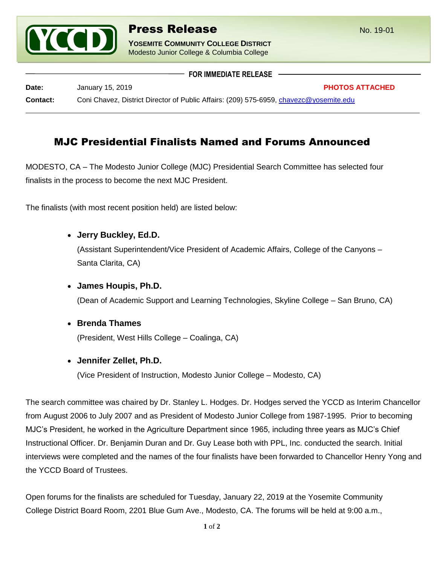

**YOSEMITE COMMUNITY COLLEGE DISTRICT** Modesto Junior College & Columbia College

 **FOR IMMEDIATE RELEASE Date:** January 15, 2019 **PHOTOS ATTACHED Contact:** Coni Chavez, District Director of Public Affairs: (209) 575-6959, [chavezc@yosemite.edu](mailto:chavezc@yosemite.edu)

# MJC Presidential Finalists Named and Forums Announced

MODESTO, CA – The Modesto Junior College (MJC) Presidential Search Committee has selected four finalists in the process to become the next MJC President.

The finalists (with most recent position held) are listed below:

**Jerry Buckley, Ed.D.**

(Assistant Superintendent/Vice President of Academic Affairs, College of the Canyons – Santa Clarita, CA)

**James Houpis, Ph.D.**

(Dean of Academic Support and Learning Technologies, Skyline College – San Bruno, CA)

**Brenda Thames**

(President, West Hills College – Coalinga, CA)

**Jennifer Zellet, Ph.D.**

(Vice President of Instruction, Modesto Junior College – Modesto, CA)

The search committee was chaired by Dr. Stanley L. Hodges. Dr. Hodges served the YCCD as Interim Chancellor from August 2006 to July 2007 and as President of Modesto Junior College from 1987-1995. Prior to becoming MJC's President, he worked in the Agriculture Department since 1965, including three years as MJC's Chief Instructional Officer. Dr. Benjamin Duran and Dr. Guy Lease both with PPL, Inc. conducted the search. Initial interviews were completed and the names of the four finalists have been forwarded to Chancellor Henry Yong and the YCCD Board of Trustees.

Open forums for the finalists are scheduled for Tuesday, January 22, 2019 at the Yosemite Community College District Board Room, 2201 Blue Gum Ave., Modesto, CA. The forums will be held at 9:00 a.m.,